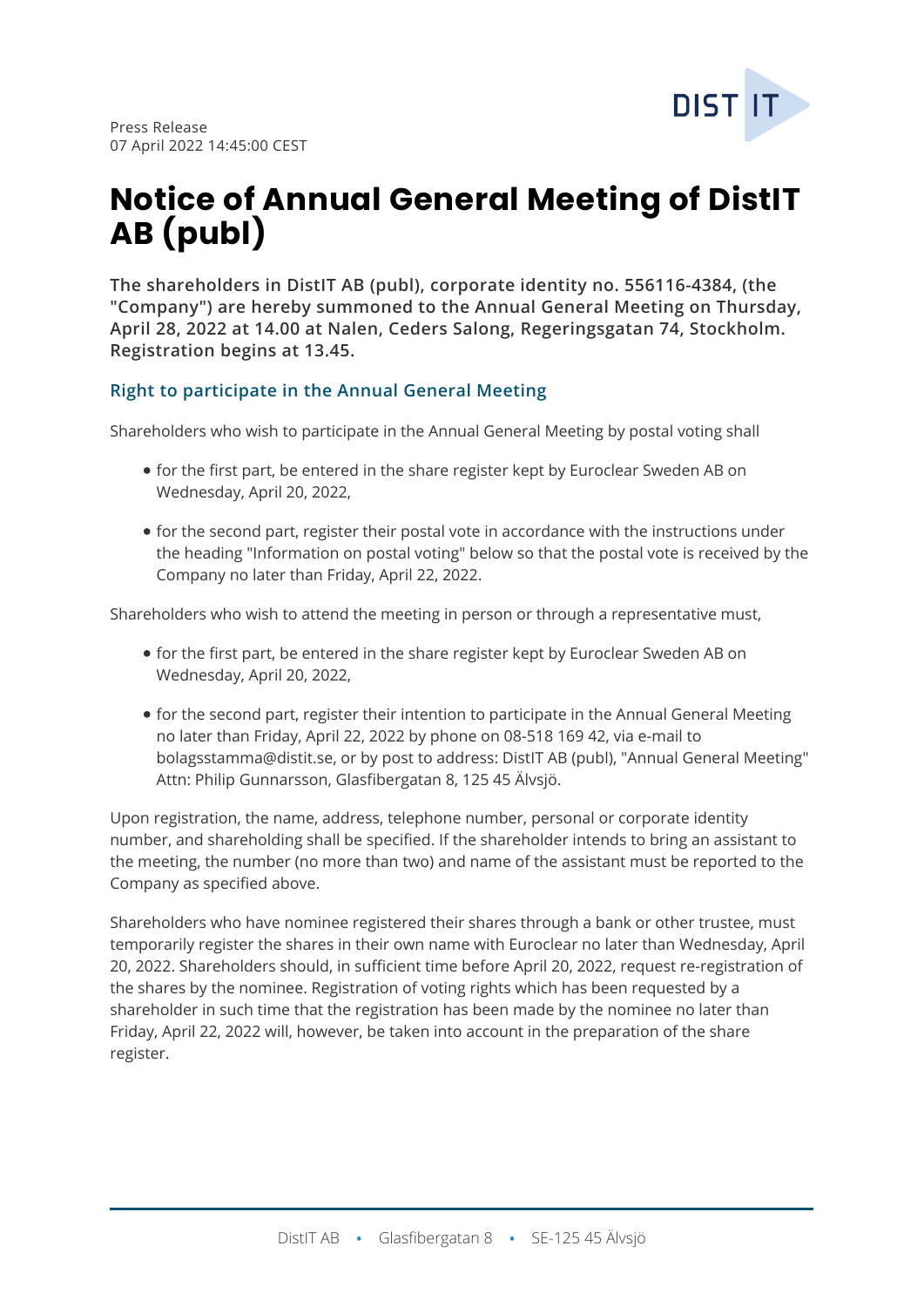

# **Notice of Annual General Meeting of DistIT AB (publ)**

**The shareholders in DistIT AB (publ), corporate identity no. 556116-4384, (the "Company") are hereby summoned to the Annual General Meeting on Thursday, April 28, 2022 at 14.00 at Nalen, Ceders Salong, Regeringsgatan 74, Stockholm. Registration begins at 13.45.**

## **Right to participate in the Annual General Meeting**

Shareholders who wish to participate in the Annual General Meeting by postal voting shall

- for the first part, be entered in the share register kept by Euroclear Sweden AB on Wednesday, April 20, 2022,
- for the second part, register their postal vote in accordance with the instructions under the heading "Information on postal voting" below so that the postal vote is received by the Company no later than Friday, April 22, 2022.

Shareholders who wish to attend the meeting in person or through a representative must,

- for the first part, be entered in the share register kept by Euroclear Sweden AB on Wednesday, April 20, 2022,
- for the second part, register their intention to participate in the Annual General Meeting no later than Friday, April 22, 2022 by phone on 08-518 169 42, via e-mail to bolagsstamma@distit.se, or by post to address: DistIT AB (publ), "Annual General Meeting" Attn: Philip Gunnarsson, Glasfibergatan 8, 125 45 Älvsjö.

Upon registration, the name, address, telephone number, personal or corporate identity number, and shareholding shall be specified. If the shareholder intends to bring an assistant to the meeting, the number (no more than two) and name of the assistant must be reported to the Company as specified above.

Shareholders who have nominee registered their shares through a bank or other trustee, must temporarily register the shares in their own name with Euroclear no later than Wednesday, April 20, 2022. Shareholders should, in sufficient time before April 20, 2022, request re-registration of the shares by the nominee. Registration of voting rights which has been requested by a shareholder in such time that the registration has been made by the nominee no later than Friday, April 22, 2022 will, however, be taken into account in the preparation of the share register.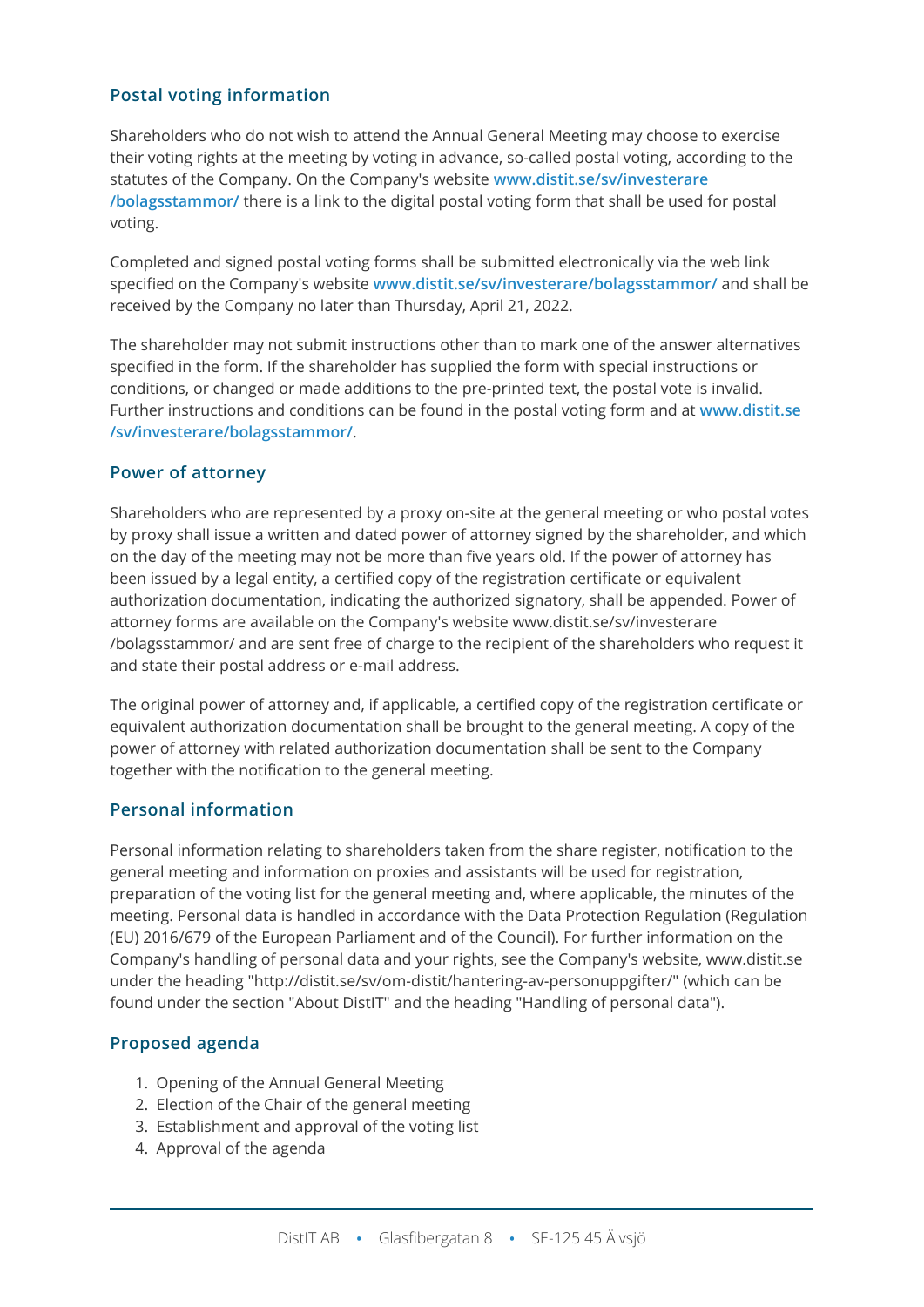## **Postal voting information**

Shareholders who do not wish to attend the Annual General Meeting may choose to exercise their voting rights at the meeting by voting in advance, so-called postal voting, according to the statutes of the Company. On the Company's website **[www.distit.se/sv/investerare](http://www.distit.se/sv/investerare/bolagsstammor/) [/bolagsstammor/](http://www.distit.se/sv/investerare/bolagsstammor/)** there is a link to the digital postal voting form that shall be used for postal voting.

Completed and signed postal voting forms shall be submitted electronically via the web link specified on the Company's website **[www.distit.se/sv/investerare/bolagsstammor/](http://www.distit.se/sv/investerare/bolagsstammor/)** and shall be received by the Company no later than Thursday, April 21, 2022.

The shareholder may not submit instructions other than to mark one of the answer alternatives specified in the form. If the shareholder has supplied the form with special instructions or conditions, or changed or made additions to the pre-printed text, the postal vote is invalid. Further instructions and conditions can be found in the postal voting form and at **[www.distit.se](http://www.distit.se/sv/investerare/bolagsstammor/) [/sv/investerare/bolagsstammor/](http://www.distit.se/sv/investerare/bolagsstammor/)**.

## **Power of attorney**

Shareholders who are represented by a proxy on-site at the general meeting or who postal votes by proxy shall issue a written and dated power of attorney signed by the shareholder, and which on the day of the meeting may not be more than five years old. If the power of attorney has been issued by a legal entity, a certified copy of the registration certificate or equivalent authorization documentation, indicating the authorized signatory, shall be appended. Power of attorney forms are available on the Company's website www.distit.se/sv/investerare /bolagsstammor/ and are sent free of charge to the recipient of the shareholders who request it and state their postal address or e-mail address.

The original power of attorney and, if applicable, a certified copy of the registration certificate or equivalent authorization documentation shall be brought to the general meeting. A copy of the power of attorney with related authorization documentation shall be sent to the Company together with the notification to the general meeting.

#### **Personal information**

Personal information relating to shareholders taken from the share register, notification to the general meeting and information on proxies and assistants will be used for registration, preparation of the voting list for the general meeting and, where applicable, the minutes of the meeting. Personal data is handled in accordance with the Data Protection Regulation (Regulation (EU) 2016/679 of the European Parliament and of the Council). For further information on the Company's handling of personal data and your rights, see the Company's website, www.distit.se under the heading "http://distit.se/sv/om-distit/hantering-av-personuppgifter/" (which can be found under the section "About DistIT" and the heading "Handling of personal data").

#### **Proposed agenda**

- 1. Opening of the Annual General Meeting
- 2. Election of the Chair of the general meeting
- 3. Establishment and approval of the voting list
- 4. Approval of the agenda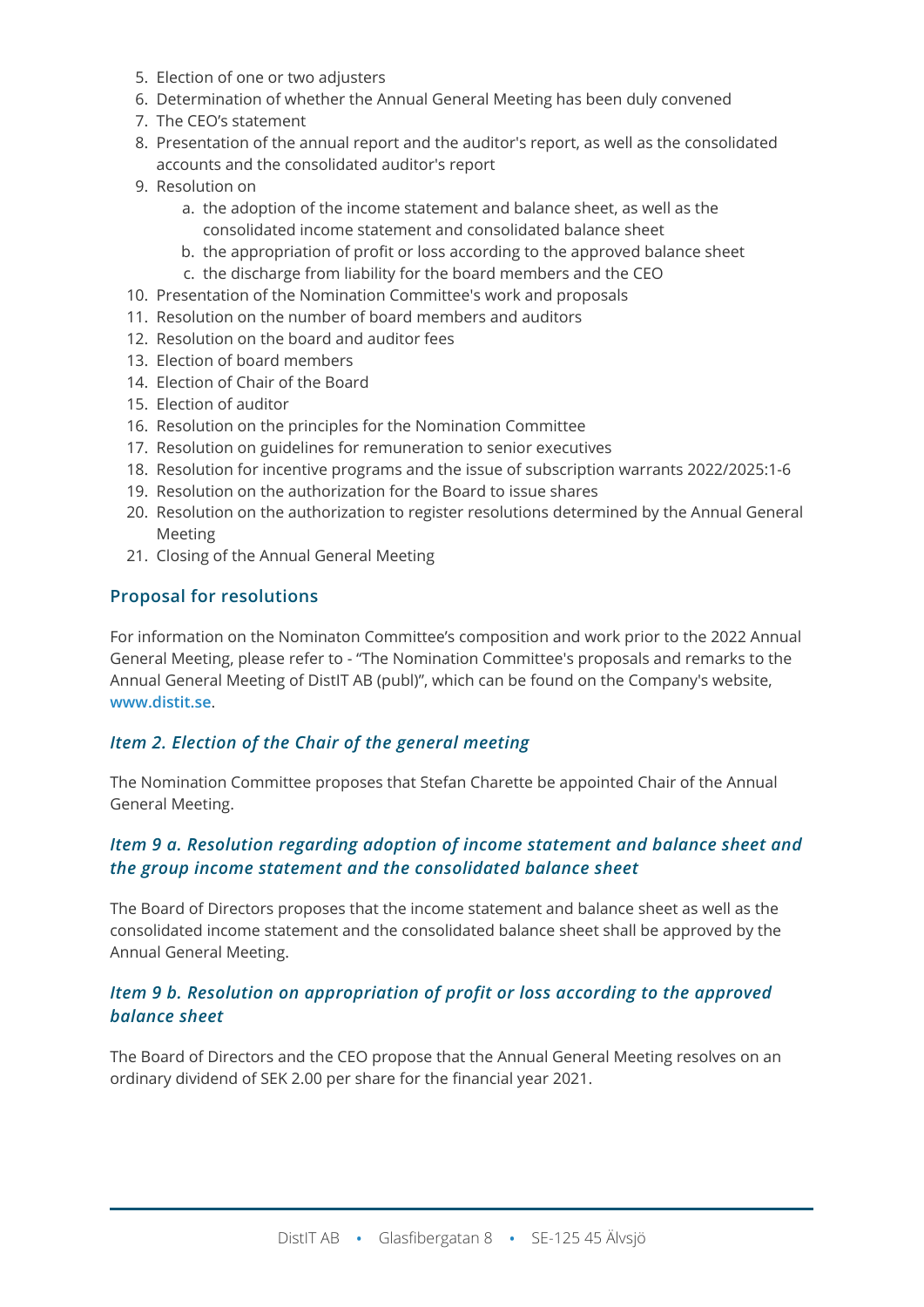- 5. Election of one or two adjusters
- 6. Determination of whether the Annual General Meeting has been duly convened
- 7. The CEO's statement
- 8. Presentation of the annual report and the auditor's report, as well as the consolidated accounts and the consolidated auditor's report
- 9. Resolution on
	- a. the adoption of the income statement and balance sheet, as well as the consolidated income statement and consolidated balance sheet
	- b. the appropriation of profit or loss according to the approved balance sheet
	- c. the discharge from liability for the board members and the CEO
- 10. Presentation of the Nomination Committee's work and proposals
- 11. Resolution on the number of board members and auditors
- 12. Resolution on the board and auditor fees
- 13. Election of board members
- 14. Election of Chair of the Board
- 15. Election of auditor
- 16. Resolution on the principles for the Nomination Committee
- 17. Resolution on guidelines for remuneration to senior executives
- 18. Resolution for incentive programs and the issue of subscription warrants 2022/2025:1-6
- 19. Resolution on the authorization for the Board to issue shares
- 20. Resolution on the authorization to register resolutions determined by the Annual General Meeting
- 21. Closing of the Annual General Meeting

## **Proposal for resolutions**

For information on the Nominaton Committee's composition and work prior to the 2022 Annual General Meeting, please refer to - "The Nomination Committee's proposals and remarks to the Annual General Meeting of DistIT AB (publ)", which can be found on the Company's website, **[www.distit.se](http://www.distit.se/)**.

## *Item 2. Election of the Chair of the general meeting*

The Nomination Committee proposes that Stefan Charette be appointed Chair of the Annual General Meeting.

## *Item 9 a. Resolution regarding adoption of income statement and balance sheet and the group income statement and the consolidated balance sheet*

The Board of Directors proposes that the income statement and balance sheet as well as the consolidated income statement and the consolidated balance sheet shall be approved by the Annual General Meeting.

## *Item 9 b. Resolution on appropriation of profit or loss according to the approved balance sheet*

The Board of Directors and the CEO propose that the Annual General Meeting resolves on an ordinary dividend of SEK 2.00 per share for the financial year 2021.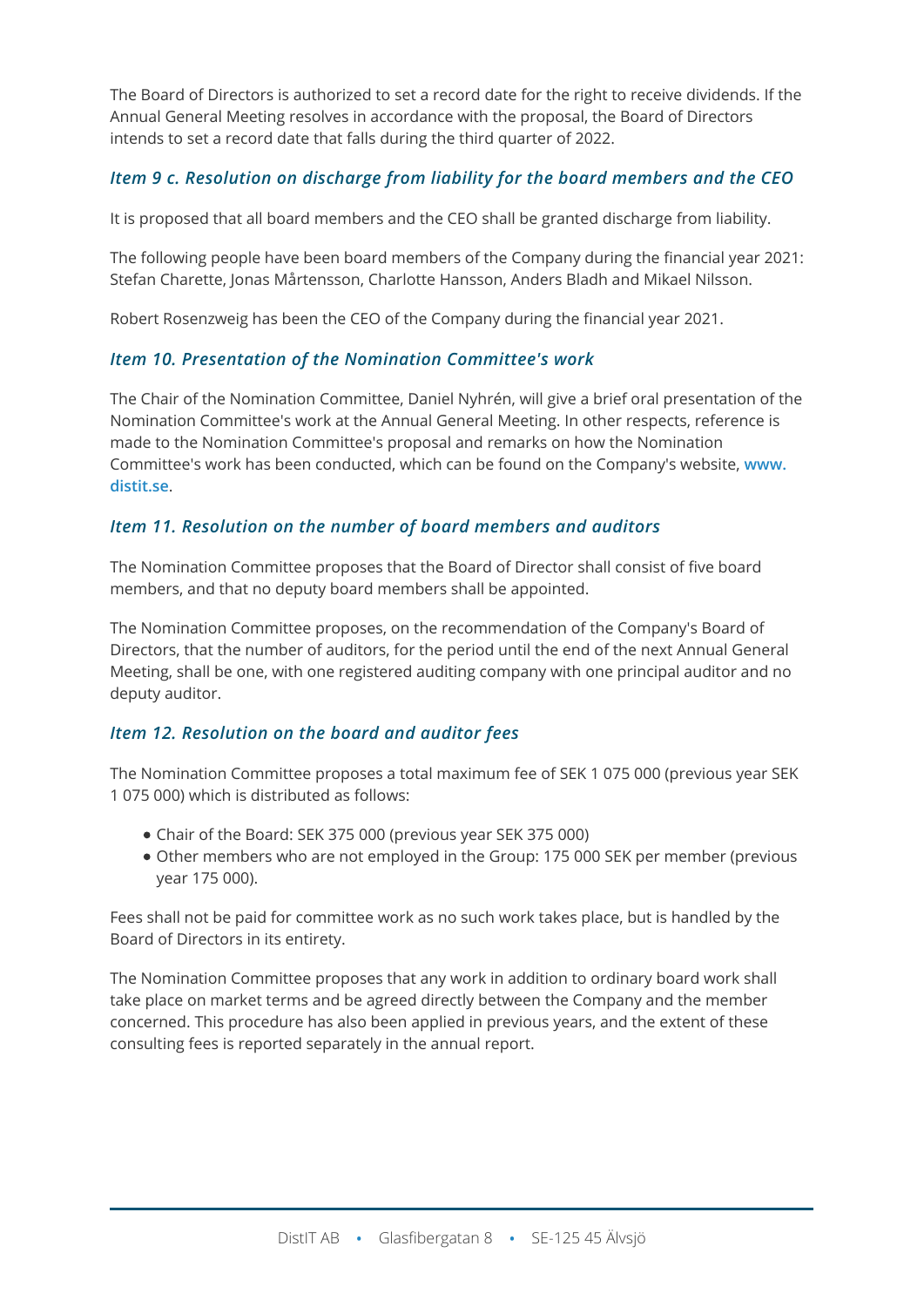The Board of Directors is authorized to set a record date for the right to receive dividends. If the Annual General Meeting resolves in accordance with the proposal, the Board of Directors intends to set a record date that falls during the third quarter of 2022.

# *Item 9 c. Resolution on discharge from liability for the board members and the CEO*

It is proposed that all board members and the CEO shall be granted discharge from liability.

The following people have been board members of the Company during the financial year 2021: Stefan Charette, Jonas Mårtensson, Charlotte Hansson, Anders Bladh and Mikael Nilsson.

Robert Rosenzweig has been the CEO of the Company during the financial year 2021.

## *Item 10. Presentation of the Nomination Committee's work*

The Chair of the Nomination Committee, Daniel Nyhrén, will give a brief oral presentation of the Nomination Committee's work at the Annual General Meeting. In other respects, reference is made to the Nomination Committee's proposal and remarks on how the Nomination Committee's work has been conducted, which can be found on the Company's website, **[www.](http://www.distit.se/) [distit.se](http://www.distit.se/)**.

## *Item 11. Resolution on the number of board members and auditors*

The Nomination Committee proposes that the Board of Director shall consist of five board members, and that no deputy board members shall be appointed.

The Nomination Committee proposes, on the recommendation of the Company's Board of Directors, that the number of auditors, for the period until the end of the next Annual General Meeting, shall be one, with one registered auditing company with one principal auditor and no deputy auditor.

## *Item 12. Resolution on the board and auditor fees*

The Nomination Committee proposes a total maximum fee of SEK 1 075 000 (previous year SEK 1 075 000) which is distributed as follows:

- Chair of the Board: SEK 375 000 (previous year SEK 375 000)
- Other members who are not employed in the Group: 175 000 SEK per member (previous year 175 000).

Fees shall not be paid for committee work as no such work takes place, but is handled by the Board of Directors in its entirety.

The Nomination Committee proposes that any work in addition to ordinary board work shall take place on market terms and be agreed directly between the Company and the member concerned. This procedure has also been applied in previous years, and the extent of these consulting fees is reported separately in the annual report.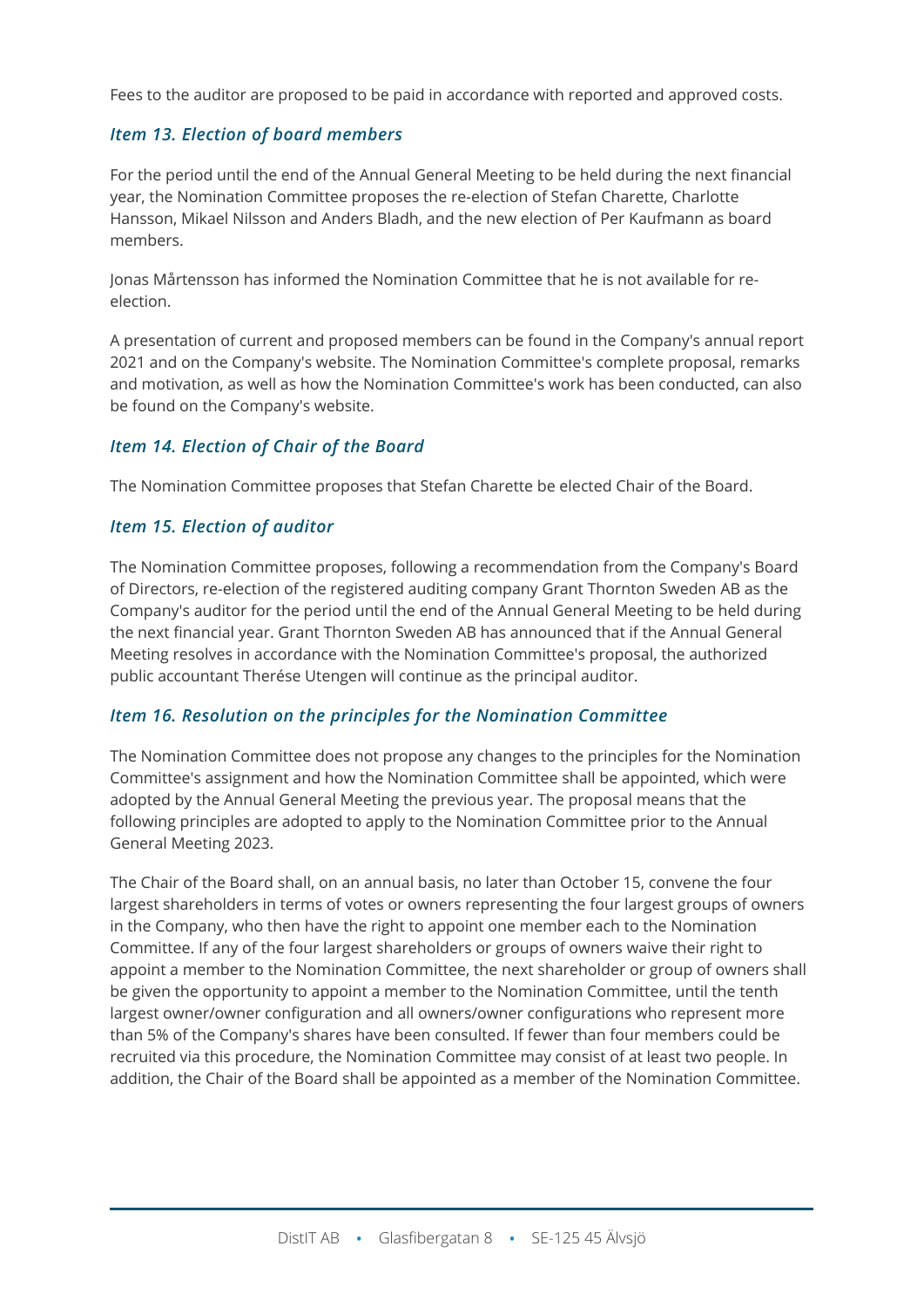Fees to the auditor are proposed to be paid in accordance with reported and approved costs.

## *Item 13. Election of board members*

For the period until the end of the Annual General Meeting to be held during the next financial year, the Nomination Committee proposes the re-election of Stefan Charette, Charlotte Hansson, Mikael Nilsson and Anders Bladh, and the new election of Per Kaufmann as board members.

Jonas Mårtensson has informed the Nomination Committee that he is not available for reelection.

A presentation of current and proposed members can be found in the Company's annual report 2021 and on the Company's website. The Nomination Committee's complete proposal, remarks and motivation, as well as how the Nomination Committee's work has been conducted, can also be found on the Company's website.

## *Item 14. Election of Chair of the Board*

The Nomination Committee proposes that Stefan Charette be elected Chair of the Board.

## *Item 15. Election of auditor*

The Nomination Committee proposes, following a recommendation from the Company's Board of Directors, re-election of the registered auditing company Grant Thornton Sweden AB as the Company's auditor for the period until the end of the Annual General Meeting to be held during the next financial year. Grant Thornton Sweden AB has announced that if the Annual General Meeting resolves in accordance with the Nomination Committee's proposal, the authorized public accountant Therése Utengen will continue as the principal auditor.

#### *Item 16. Resolution on the principles for the Nomination Committee*

The Nomination Committee does not propose any changes to the principles for the Nomination Committee's assignment and how the Nomination Committee shall be appointed, which were adopted by the Annual General Meeting the previous year. The proposal means that the following principles are adopted to apply to the Nomination Committee prior to the Annual General Meeting 2023.

The Chair of the Board shall, on an annual basis, no later than October 15, convene the four largest shareholders in terms of votes or owners representing the four largest groups of owners in the Company, who then have the right to appoint one member each to the Nomination Committee. If any of the four largest shareholders or groups of owners waive their right to appoint a member to the Nomination Committee, the next shareholder or group of owners shall be given the opportunity to appoint a member to the Nomination Committee, until the tenth largest owner/owner configuration and all owners/owner configurations who represent more than 5% of the Company's shares have been consulted. If fewer than four members could be recruited via this procedure, the Nomination Committee may consist of at least two people. In addition, the Chair of the Board shall be appointed as a member of the Nomination Committee.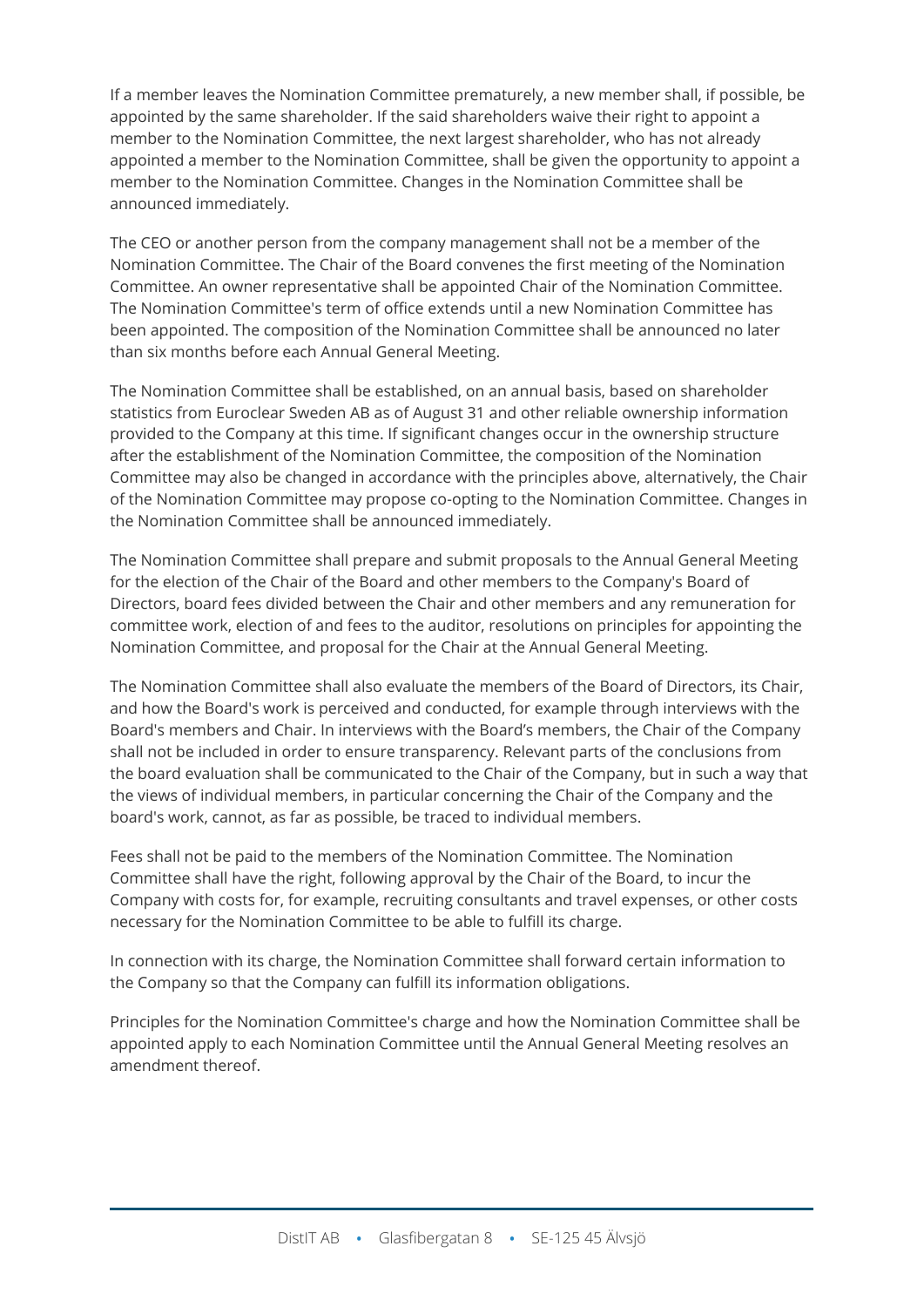If a member leaves the Nomination Committee prematurely, a new member shall, if possible, be appointed by the same shareholder. If the said shareholders waive their right to appoint a member to the Nomination Committee, the next largest shareholder, who has not already appointed a member to the Nomination Committee, shall be given the opportunity to appoint a member to the Nomination Committee. Changes in the Nomination Committee shall be announced immediately.

The CEO or another person from the company management shall not be a member of the Nomination Committee. The Chair of the Board convenes the first meeting of the Nomination Committee. An owner representative shall be appointed Chair of the Nomination Committee. The Nomination Committee's term of office extends until a new Nomination Committee has been appointed. The composition of the Nomination Committee shall be announced no later than six months before each Annual General Meeting.

The Nomination Committee shall be established, on an annual basis, based on shareholder statistics from Euroclear Sweden AB as of August 31 and other reliable ownership information provided to the Company at this time. If significant changes occur in the ownership structure after the establishment of the Nomination Committee, the composition of the Nomination Committee may also be changed in accordance with the principles above, alternatively, the Chair of the Nomination Committee may propose co-opting to the Nomination Committee. Changes in the Nomination Committee shall be announced immediately.

The Nomination Committee shall prepare and submit proposals to the Annual General Meeting for the election of the Chair of the Board and other members to the Company's Board of Directors, board fees divided between the Chair and other members and any remuneration for committee work, election of and fees to the auditor, resolutions on principles for appointing the Nomination Committee, and proposal for the Chair at the Annual General Meeting.

The Nomination Committee shall also evaluate the members of the Board of Directors, its Chair, and how the Board's work is perceived and conducted, for example through interviews with the Board's members and Chair. In interviews with the Board's members, the Chair of the Company shall not be included in order to ensure transparency. Relevant parts of the conclusions from the board evaluation shall be communicated to the Chair of the Company, but in such a way that the views of individual members, in particular concerning the Chair of the Company and the board's work, cannot, as far as possible, be traced to individual members.

Fees shall not be paid to the members of the Nomination Committee. The Nomination Committee shall have the right, following approval by the Chair of the Board, to incur the Company with costs for, for example, recruiting consultants and travel expenses, or other costs necessary for the Nomination Committee to be able to fulfill its charge.

In connection with its charge, the Nomination Committee shall forward certain information to the Company so that the Company can fulfill its information obligations.

Principles for the Nomination Committee's charge and how the Nomination Committee shall be appointed apply to each Nomination Committee until the Annual General Meeting resolves an amendment thereof.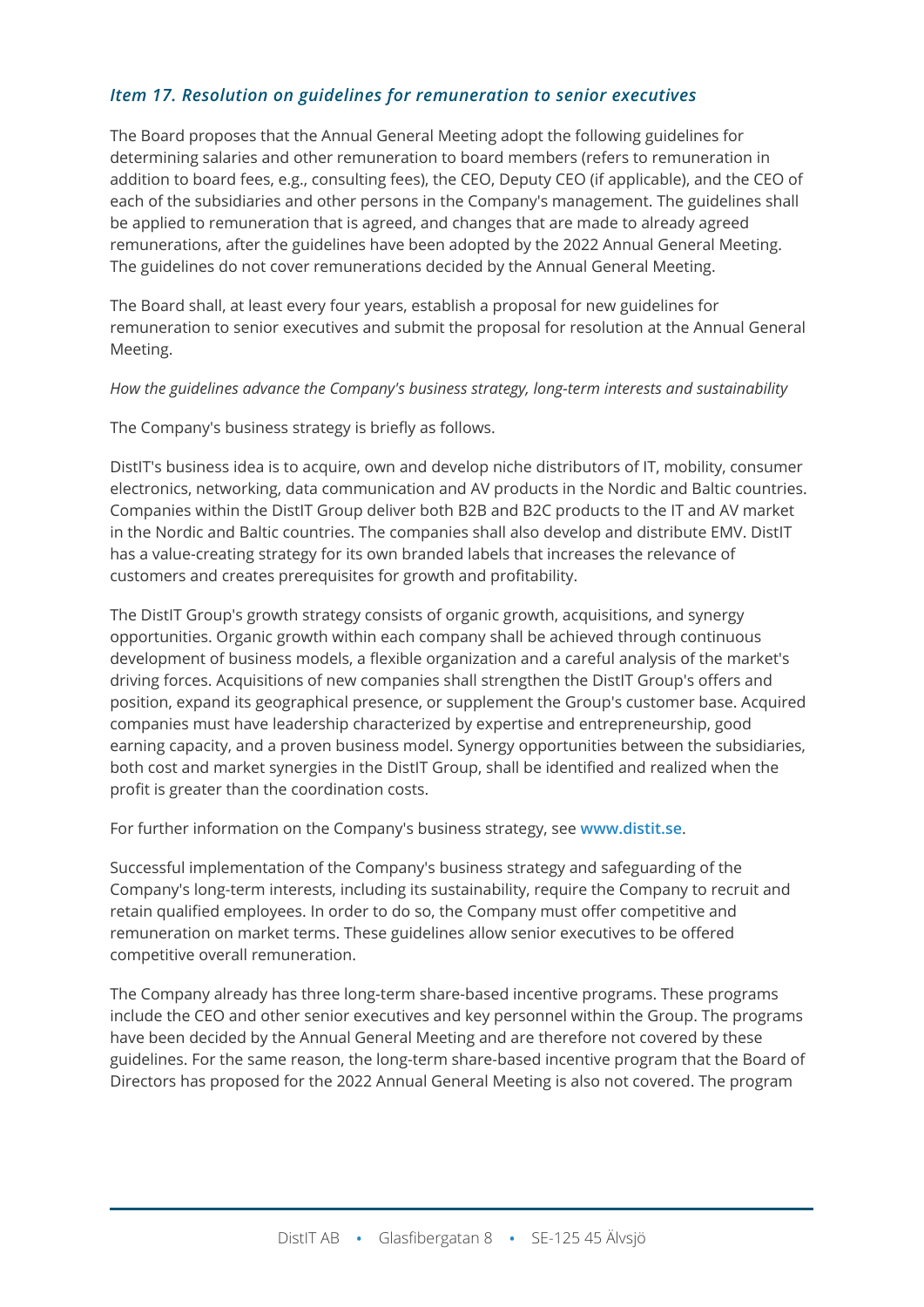## *Item 17. Resolution on guidelines for remuneration to senior executives*

The Board proposes that the Annual General Meeting adopt the following guidelines for determining salaries and other remuneration to board members (refers to remuneration in addition to board fees, e.g., consulting fees), the CEO, Deputy CEO (if applicable), and the CEO of each of the subsidiaries and other persons in the Company's management. The guidelines shall be applied to remuneration that is agreed, and changes that are made to already agreed remunerations, after the guidelines have been adopted by the 2022 Annual General Meeting. The guidelines do not cover remunerations decided by the Annual General Meeting.

The Board shall, at least every four years, establish a proposal for new guidelines for remuneration to senior executives and submit the proposal for resolution at the Annual General Meeting.

#### *How the guidelines advance the Company's business strategy, long-term interests and sustainability*

The Company's business strategy is briefly as follows.

DistIT's business idea is to acquire, own and develop niche distributors of IT, mobility, consumer electronics, networking, data communication and AV products in the Nordic and Baltic countries. Companies within the DistIT Group deliver both B2B and B2C products to the IT and AV market in the Nordic and Baltic countries. The companies shall also develop and distribute EMV. DistIT has a value-creating strategy for its own branded labels that increases the relevance of customers and creates prerequisites for growth and profitability.

The DistIT Group's growth strategy consists of organic growth, acquisitions, and synergy opportunities. Organic growth within each company shall be achieved through continuous development of business models, a flexible organization and a careful analysis of the market's driving forces. Acquisitions of new companies shall strengthen the DistIT Group's offers and position, expand its geographical presence, or supplement the Group's customer base. Acquired companies must have leadership characterized by expertise and entrepreneurship, good earning capacity, and a proven business model. Synergy opportunities between the subsidiaries, both cost and market synergies in the DistIT Group, shall be identified and realized when the profit is greater than the coordination costs.

For further information on the Company's business strategy, see **[www.distit.se](http://www.distit.se/)**.

Successful implementation of the Company's business strategy and safeguarding of the Company's long-term interests, including its sustainability, require the Company to recruit and retain qualified employees. In order to do so, the Company must offer competitive and remuneration on market terms. These guidelines allow senior executives to be offered competitive overall remuneration.

The Company already has three long-term share-based incentive programs. These programs include the CEO and other senior executives and key personnel within the Group. The programs have been decided by the Annual General Meeting and are therefore not covered by these guidelines. For the same reason, the long-term share-based incentive program that the Board of Directors has proposed for the 2022 Annual General Meeting is also not covered. The program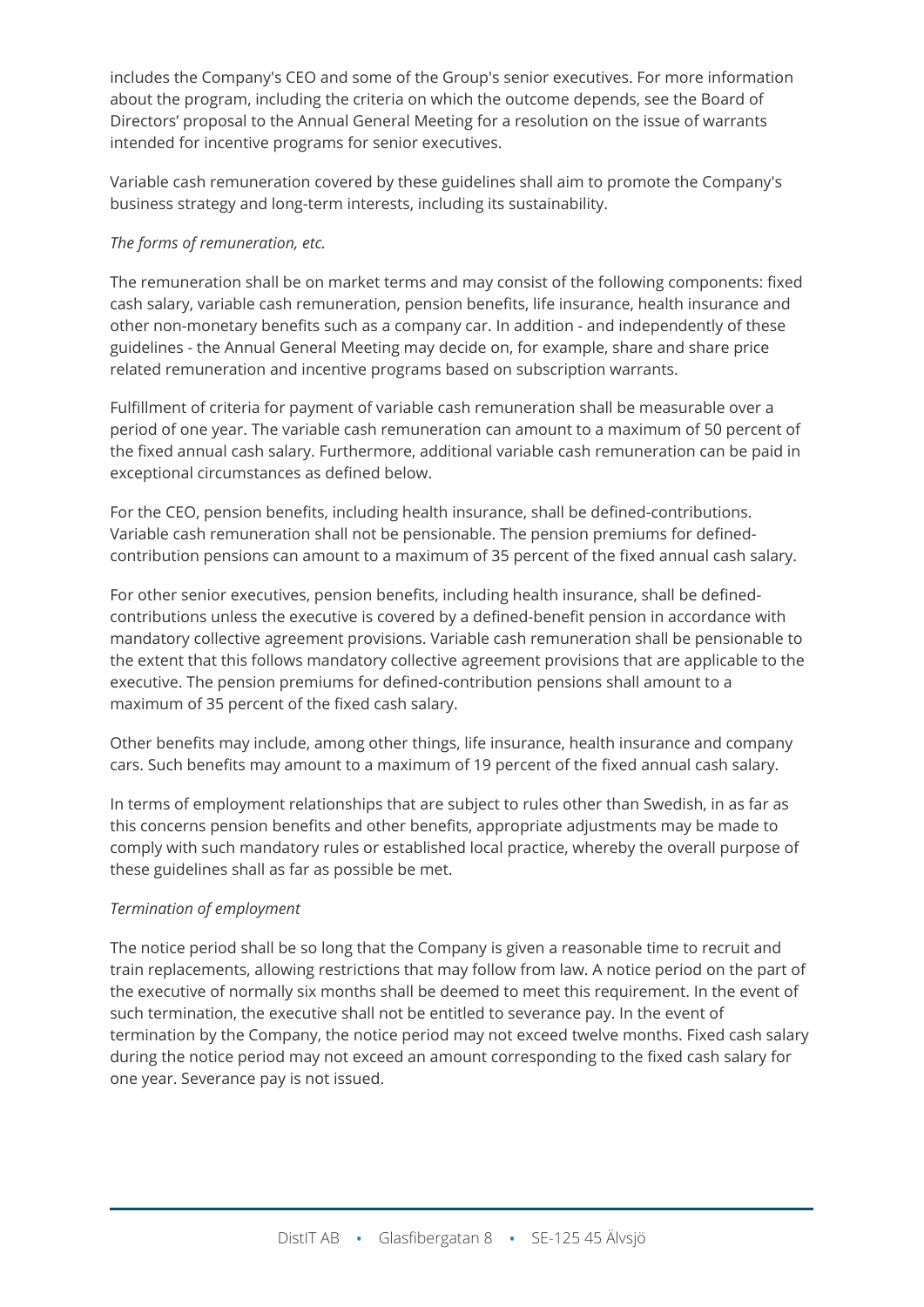includes the Company's CEO and some of the Group's senior executives. For more information about the program, including the criteria on which the outcome depends, see the Board of Directors' proposal to the Annual General Meeting for a resolution on the issue of warrants intended for incentive programs for senior executives.

Variable cash remuneration covered by these guidelines shall aim to promote the Company's business strategy and long-term interests, including its sustainability.

#### *The forms of remuneration, etc.*

The remuneration shall be on market terms and may consist of the following components: fixed cash salary, variable cash remuneration, pension benefits, life insurance, health insurance and other non-monetary benefits such as a company car. In addition - and independently of these guidelines - the Annual General Meeting may decide on, for example, share and share price related remuneration and incentive programs based on subscription warrants.

Fulfillment of criteria for payment of variable cash remuneration shall be measurable over a period of one year. The variable cash remuneration can amount to a maximum of 50 percent of the fixed annual cash salary. Furthermore, additional variable cash remuneration can be paid in exceptional circumstances as defined below.

For the CEO, pension benefits, including health insurance, shall be defined-contributions. Variable cash remuneration shall not be pensionable. The pension premiums for definedcontribution pensions can amount to a maximum of 35 percent of the fixed annual cash salary.

For other senior executives, pension benefits, including health insurance, shall be definedcontributions unless the executive is covered by a defined-benefit pension in accordance with mandatory collective agreement provisions. Variable cash remuneration shall be pensionable to the extent that this follows mandatory collective agreement provisions that are applicable to the executive. The pension premiums for defined-contribution pensions shall amount to a maximum of 35 percent of the fixed cash salary.

Other benefits may include, among other things, life insurance, health insurance and company cars. Such benefits may amount to a maximum of 19 percent of the fixed annual cash salary.

In terms of employment relationships that are subject to rules other than Swedish, in as far as this concerns pension benefits and other benefits, appropriate adjustments may be made to comply with such mandatory rules or established local practice, whereby the overall purpose of these guidelines shall as far as possible be met.

#### *Termination of employment*

The notice period shall be so long that the Company is given a reasonable time to recruit and train replacements, allowing restrictions that may follow from law. A notice period on the part of the executive of normally six months shall be deemed to meet this requirement. In the event of such termination, the executive shall not be entitled to severance pay. In the event of termination by the Company, the notice period may not exceed twelve months. Fixed cash salary during the notice period may not exceed an amount corresponding to the fixed cash salary for one year. Severance pay is not issued.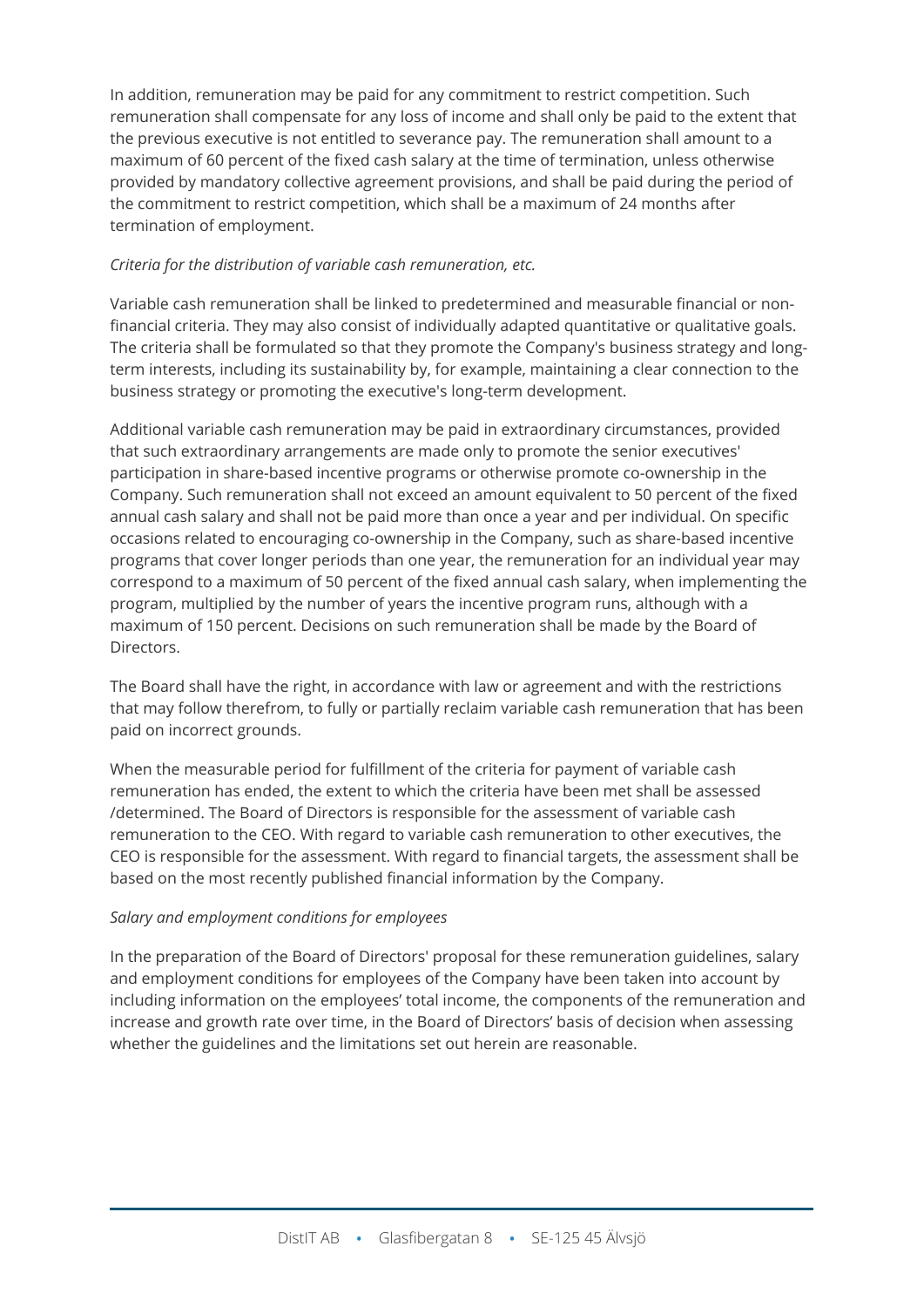In addition, remuneration may be paid for any commitment to restrict competition. Such remuneration shall compensate for any loss of income and shall only be paid to the extent that the previous executive is not entitled to severance pay. The remuneration shall amount to a maximum of 60 percent of the fixed cash salary at the time of termination, unless otherwise provided by mandatory collective agreement provisions, and shall be paid during the period of the commitment to restrict competition, which shall be a maximum of 24 months after termination of employment.

#### *Criteria for the distribution of variable cash remuneration, etc.*

Variable cash remuneration shall be linked to predetermined and measurable financial or nonfinancial criteria. They may also consist of individually adapted quantitative or qualitative goals. The criteria shall be formulated so that they promote the Company's business strategy and longterm interests, including its sustainability by, for example, maintaining a clear connection to the business strategy or promoting the executive's long-term development.

Additional variable cash remuneration may be paid in extraordinary circumstances, provided that such extraordinary arrangements are made only to promote the senior executives' participation in share-based incentive programs or otherwise promote co-ownership in the Company. Such remuneration shall not exceed an amount equivalent to 50 percent of the fixed annual cash salary and shall not be paid more than once a year and per individual. On specific occasions related to encouraging co-ownership in the Company, such as share-based incentive programs that cover longer periods than one year, the remuneration for an individual year may correspond to a maximum of 50 percent of the fixed annual cash salary, when implementing the program, multiplied by the number of years the incentive program runs, although with a maximum of 150 percent. Decisions on such remuneration shall be made by the Board of Directors.

The Board shall have the right, in accordance with law or agreement and with the restrictions that may follow therefrom, to fully or partially reclaim variable cash remuneration that has been paid on incorrect grounds.

When the measurable period for fulfillment of the criteria for payment of variable cash remuneration has ended, the extent to which the criteria have been met shall be assessed /determined. The Board of Directors is responsible for the assessment of variable cash remuneration to the CEO. With regard to variable cash remuneration to other executives, the CEO is responsible for the assessment. With regard to financial targets, the assessment shall be based on the most recently published financial information by the Company.

#### *Salary and employment conditions for employees*

In the preparation of the Board of Directors' proposal for these remuneration guidelines, salary and employment conditions for employees of the Company have been taken into account by including information on the employees' total income, the components of the remuneration and increase and growth rate over time, in the Board of Directors' basis of decision when assessing whether the guidelines and the limitations set out herein are reasonable.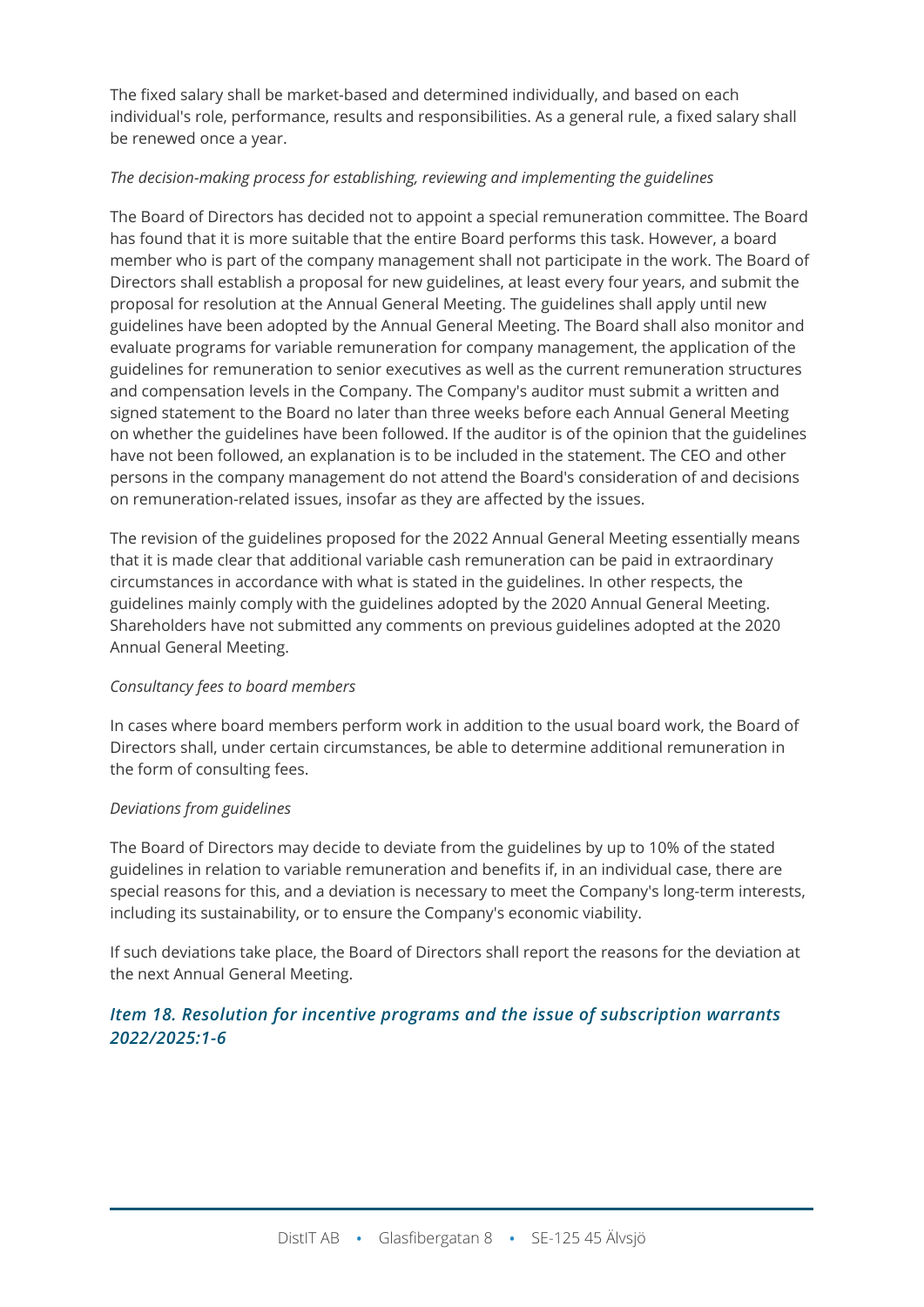The fixed salary shall be market-based and determined individually, and based on each individual's role, performance, results and responsibilities. As a general rule, a fixed salary shall be renewed once a year.

#### *The decision-making process for establishing, reviewing and implementing the guidelines*

The Board of Directors has decided not to appoint a special remuneration committee. The Board has found that it is more suitable that the entire Board performs this task. However, a board member who is part of the company management shall not participate in the work. The Board of Directors shall establish a proposal for new guidelines, at least every four years, and submit the proposal for resolution at the Annual General Meeting. The guidelines shall apply until new guidelines have been adopted by the Annual General Meeting. The Board shall also monitor and evaluate programs for variable remuneration for company management, the application of the guidelines for remuneration to senior executives as well as the current remuneration structures and compensation levels in the Company. The Company's auditor must submit a written and signed statement to the Board no later than three weeks before each Annual General Meeting on whether the guidelines have been followed. If the auditor is of the opinion that the guidelines have not been followed, an explanation is to be included in the statement. The CEO and other persons in the company management do not attend the Board's consideration of and decisions on remuneration-related issues, insofar as they are affected by the issues.

The revision of the guidelines proposed for the 2022 Annual General Meeting essentially means that it is made clear that additional variable cash remuneration can be paid in extraordinary circumstances in accordance with what is stated in the guidelines. In other respects, the guidelines mainly comply with the guidelines adopted by the 2020 Annual General Meeting. Shareholders have not submitted any comments on previous guidelines adopted at the 2020 Annual General Meeting.

#### *Consultancy fees to board members*

In cases where board members perform work in addition to the usual board work, the Board of Directors shall, under certain circumstances, be able to determine additional remuneration in the form of consulting fees.

#### *Deviations from guidelines*

The Board of Directors may decide to deviate from the guidelines by up to 10% of the stated guidelines in relation to variable remuneration and benefits if, in an individual case, there are special reasons for this, and a deviation is necessary to meet the Company's long-term interests, including its sustainability, or to ensure the Company's economic viability.

If such deviations take place, the Board of Directors shall report the reasons for the deviation at the next Annual General Meeting.

## *Item 18. Resolution for incentive programs and the issue of subscription warrants 2022/2025:1-6*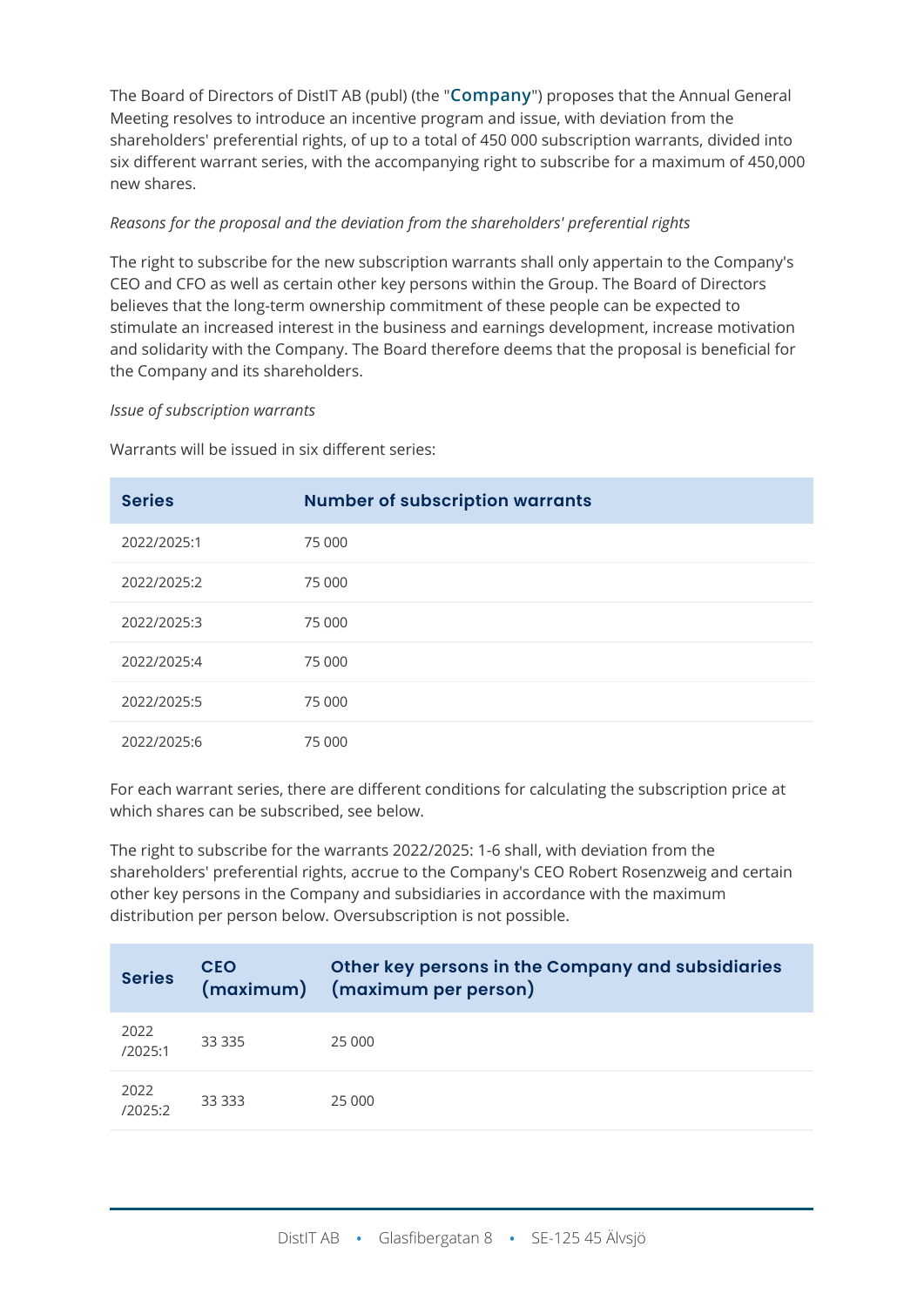The Board of Directors of DistIT AB (publ) (the "**Company**") proposes that the Annual General Meeting resolves to introduce an incentive program and issue, with deviation from the shareholders' preferential rights, of up to a total of 450 000 subscription warrants, divided into six different warrant series, with the accompanying right to subscribe for a maximum of 450,000 new shares.

#### *Reasons for the proposal and the deviation from the shareholders' preferential rights*

The right to subscribe for the new subscription warrants shall only appertain to the Company's CEO and CFO as well as certain other key persons within the Group. The Board of Directors believes that the long-term ownership commitment of these people can be expected to stimulate an increased interest in the business and earnings development, increase motivation and solidarity with the Company. The Board therefore deems that the proposal is beneficial for the Company and its shareholders.

#### *Issue of subscription warrants*

Warrants will be issued in six different series:

| <b>Series</b> | <b>Number of subscription warrants</b> |
|---------------|----------------------------------------|
| 2022/2025:1   | 75 000                                 |
| 2022/2025:2   | 75 000                                 |
| 2022/2025:3   | 75 000                                 |
| 2022/2025:4   | 75 000                                 |
| 2022/2025:5   | 75 000                                 |
| 2022/2025:6   | 75 000                                 |

For each warrant series, there are different conditions for calculating the subscription price at which shares can be subscribed, see below.

The right to subscribe for the warrants 2022/2025: 1-6 shall, with deviation from the shareholders' preferential rights, accrue to the Company's CEO Robert Rosenzweig and certain other key persons in the Company and subsidiaries in accordance with the maximum distribution per person below. Oversubscription is not possible.

| <b>Series</b>   | <b>CEO</b> | Other key persons in the Company and subsidiaries<br>(maximum) (maximum per person) |
|-----------------|------------|-------------------------------------------------------------------------------------|
| 2022<br>/2025:1 | 33 3 3 5   | 25 000                                                                              |
| 2022<br>/2025:2 | 33 333     | 25 000                                                                              |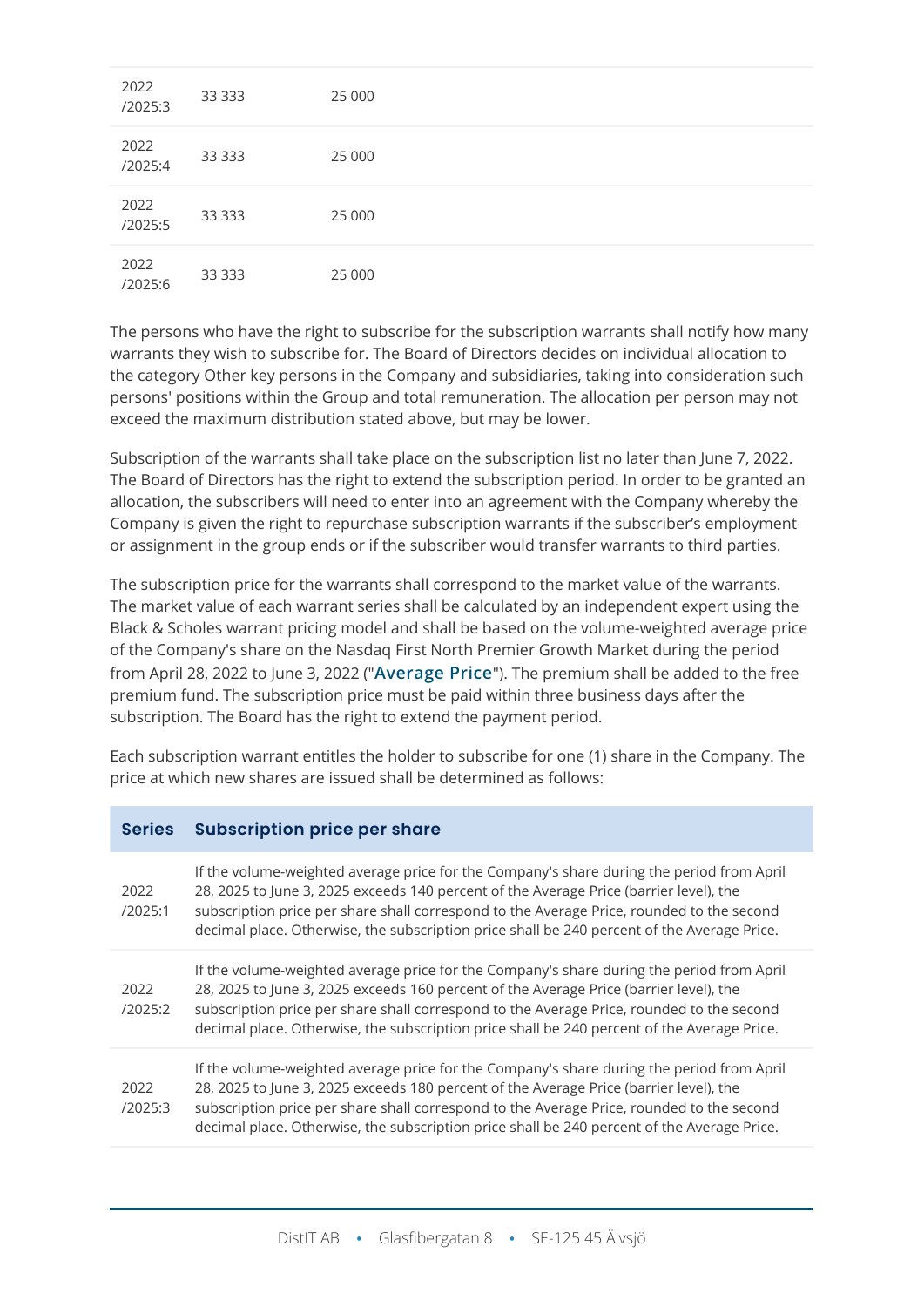| 2022<br>/2025:3 | 33 3 3 3 | 25 000 |
|-----------------|----------|--------|
| 2022<br>/2025:4 | 33 3 3 3 | 25 000 |
| 2022<br>/2025:5 | 33 3 3 3 | 25 000 |
| 2022<br>/2025:6 | 33 3 3 3 | 25 000 |

The persons who have the right to subscribe for the subscription warrants shall notify how many warrants they wish to subscribe for. The Board of Directors decides on individual allocation to the category Other key persons in the Company and subsidiaries, taking into consideration such persons' positions within the Group and total remuneration. The allocation per person may not exceed the maximum distribution stated above, but may be lower.

Subscription of the warrants shall take place on the subscription list no later than June 7, 2022. The Board of Directors has the right to extend the subscription period. In order to be granted an allocation, the subscribers will need to enter into an agreement with the Company whereby the Company is given the right to repurchase subscription warrants if the subscriber's employment or assignment in the group ends or if the subscriber would transfer warrants to third parties.

The subscription price for the warrants shall correspond to the market value of the warrants. The market value of each warrant series shall be calculated by an independent expert using the Black & Scholes warrant pricing model and shall be based on the volume-weighted average price of the Company's share on the Nasdaq First North Premier Growth Market during the period from April 28, 2022 to June 3, 2022 ("**Average Price**"). The premium shall be added to the free premium fund. The subscription price must be paid within three business days after the subscription. The Board has the right to extend the payment period.

Each subscription warrant entitles the holder to subscribe for one (1) share in the Company. The price at which new shares are issued shall be determined as follows:

#### **Series Subscription price per share**

| 2022<br>/2025:1 | If the volume-weighted average price for the Company's share during the period from April<br>28, 2025 to June 3, 2025 exceeds 140 percent of the Average Price (barrier level), the<br>subscription price per share shall correspond to the Average Price, rounded to the second<br>decimal place. Otherwise, the subscription price shall be 240 percent of the Average Price. |
|-----------------|---------------------------------------------------------------------------------------------------------------------------------------------------------------------------------------------------------------------------------------------------------------------------------------------------------------------------------------------------------------------------------|
| 2022<br>/2025:2 | If the volume-weighted average price for the Company's share during the period from April<br>28, 2025 to June 3, 2025 exceeds 160 percent of the Average Price (barrier level), the<br>subscription price per share shall correspond to the Average Price, rounded to the second<br>decimal place. Otherwise, the subscription price shall be 240 percent of the Average Price. |
| 2022<br>/2025:3 | If the volume-weighted average price for the Company's share during the period from April<br>28, 2025 to June 3, 2025 exceeds 180 percent of the Average Price (barrier level), the<br>subscription price per share shall correspond to the Average Price, rounded to the second<br>decimal place. Otherwise, the subscription price shall be 240 percent of the Average Price. |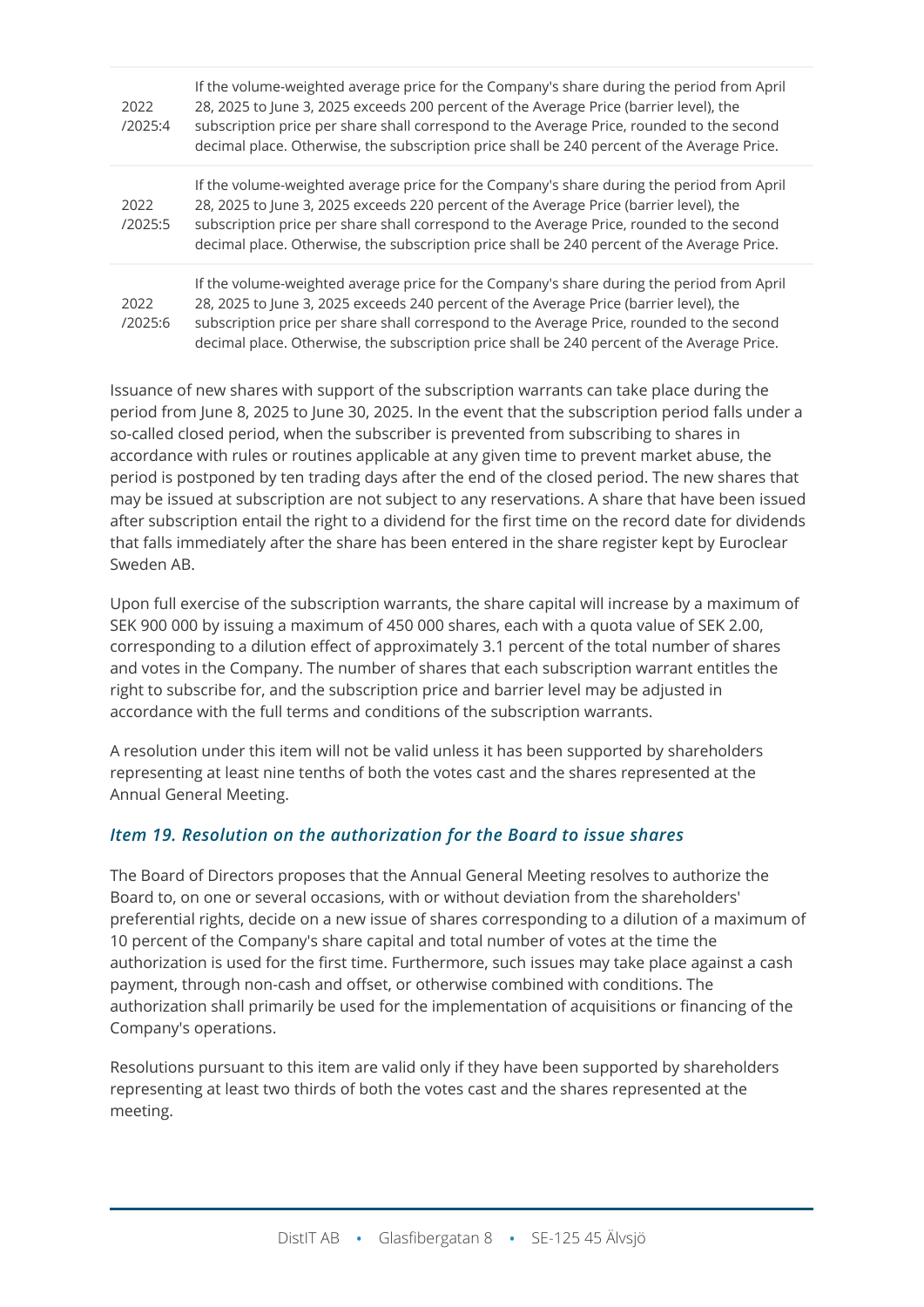| 2022<br>/2025:4 | If the volume-weighted average price for the Company's share during the period from April<br>28, 2025 to June 3, 2025 exceeds 200 percent of the Average Price (barrier level), the<br>subscription price per share shall correspond to the Average Price, rounded to the second<br>decimal place. Otherwise, the subscription price shall be 240 percent of the Average Price. |
|-----------------|---------------------------------------------------------------------------------------------------------------------------------------------------------------------------------------------------------------------------------------------------------------------------------------------------------------------------------------------------------------------------------|
| 2022<br>/2025:5 | If the volume-weighted average price for the Company's share during the period from April<br>28, 2025 to June 3, 2025 exceeds 220 percent of the Average Price (barrier level), the<br>subscription price per share shall correspond to the Average Price, rounded to the second<br>decimal place. Otherwise, the subscription price shall be 240 percent of the Average Price. |
| 2022<br>/2025:6 | If the volume-weighted average price for the Company's share during the period from April<br>28, 2025 to June 3, 2025 exceeds 240 percent of the Average Price (barrier level), the<br>subscription price per share shall correspond to the Average Price, rounded to the second<br>decimal place. Otherwise, the subscription price shall be 240 percent of the Average Price. |

Issuance of new shares with support of the subscription warrants can take place during the period from June 8, 2025 to June 30, 2025. In the event that the subscription period falls under a so-called closed period, when the subscriber is prevented from subscribing to shares in accordance with rules or routines applicable at any given time to prevent market abuse, the period is postponed by ten trading days after the end of the closed period. The new shares that may be issued at subscription are not subject to any reservations. A share that have been issued after subscription entail the right to a dividend for the first time on the record date for dividends that falls immediately after the share has been entered in the share register kept by Euroclear Sweden AB.

Upon full exercise of the subscription warrants, the share capital will increase by a maximum of SEK 900 000 by issuing a maximum of 450 000 shares, each with a quota value of SEK 2.00, corresponding to a dilution effect of approximately 3.1 percent of the total number of shares and votes in the Company. The number of shares that each subscription warrant entitles the right to subscribe for, and the subscription price and barrier level may be adjusted in accordance with the full terms and conditions of the subscription warrants.

A resolution under this item will not be valid unless it has been supported by shareholders representing at least nine tenths of both the votes cast and the shares represented at the Annual General Meeting.

## *Item 19. Resolution on the authorization for the Board to issue shares*

The Board of Directors proposes that the Annual General Meeting resolves to authorize the Board to, on one or several occasions, with or without deviation from the shareholders' preferential rights, decide on a new issue of shares corresponding to a dilution of a maximum of 10 percent of the Company's share capital and total number of votes at the time the authorization is used for the first time. Furthermore, such issues may take place against a cash payment, through non-cash and offset, or otherwise combined with conditions. The authorization shall primarily be used for the implementation of acquisitions or financing of the Company's operations.

Resolutions pursuant to this item are valid only if they have been supported by shareholders representing at least two thirds of both the votes cast and the shares represented at the meeting.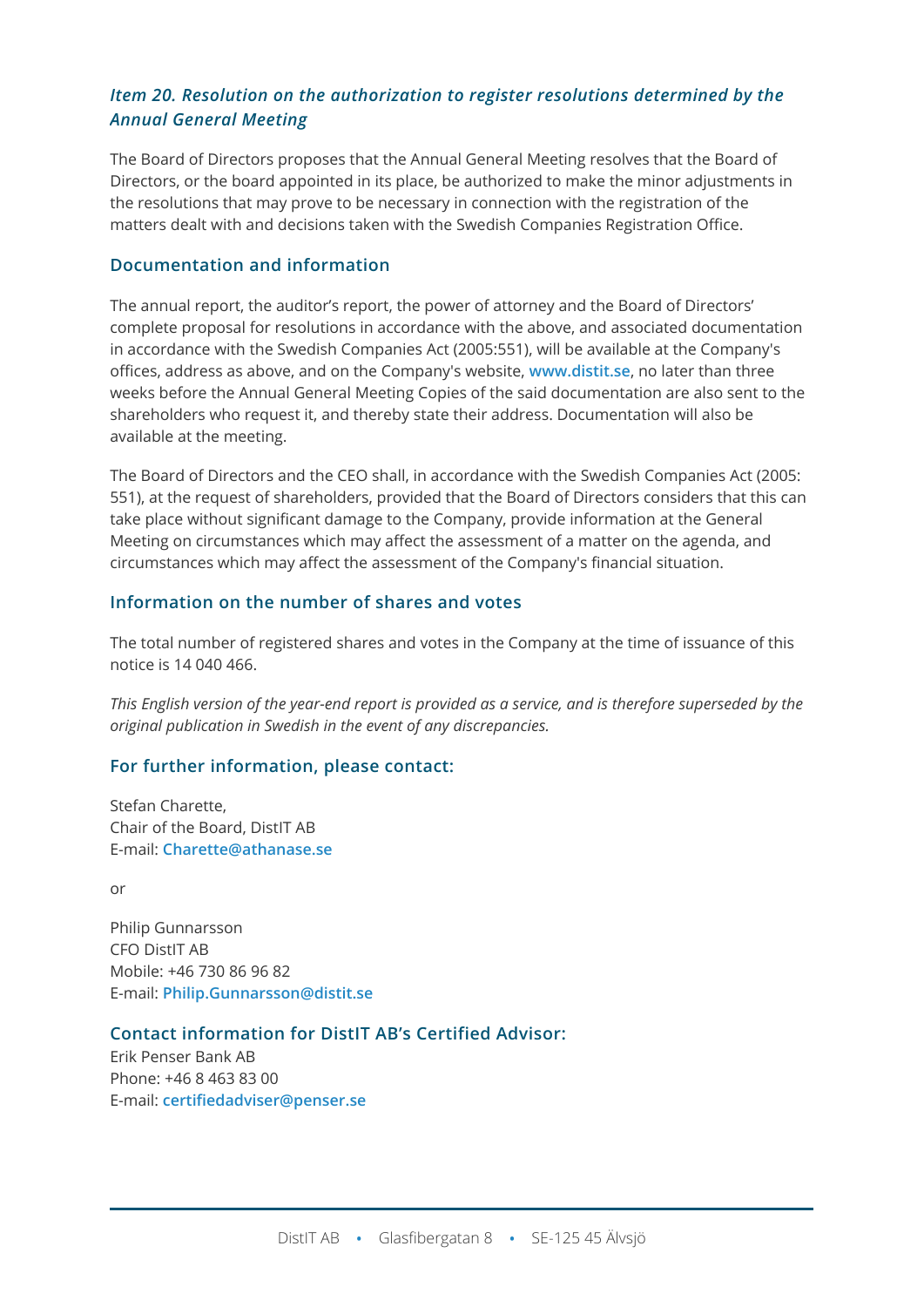## *Item 20. Resolution on the authorization to register resolutions determined by the Annual General Meeting*

The Board of Directors proposes that the Annual General Meeting resolves that the Board of Directors, or the board appointed in its place, be authorized to make the minor adjustments in the resolutions that may prove to be necessary in connection with the registration of the matters dealt with and decisions taken with the Swedish Companies Registration Office.

#### **Documentation and information**

The annual report, the auditor's report, the power of attorney and the Board of Directors' complete proposal for resolutions in accordance with the above, and associated documentation in accordance with the Swedish Companies Act (2005:551), will be available at the Company's offices, address as above, and on the Company's website, **[www.distit.se](http://www.distit.se/)**, no later than three weeks before the Annual General Meeting Copies of the said documentation are also sent to the shareholders who request it, and thereby state their address. Documentation will also be available at the meeting.

The Board of Directors and the CEO shall, in accordance with the Swedish Companies Act (2005: 551), at the request of shareholders, provided that the Board of Directors considers that this can take place without significant damage to the Company, provide information at the General Meeting on circumstances which may affect the assessment of a matter on the agenda, and circumstances which may affect the assessment of the Company's financial situation.

## **Information on the number of shares and votes**

The total number of registered shares and votes in the Company at the time of issuance of this notice is 14 040 466.

*This English version of the year-end report is provided as a service, and is therefore superseded by the original publication in Swedish in the event of any discrepancies.*

## **For further information, please contact:**

Stefan Charette, Chair of the Board, DistIT AB E-mail: **[Charette@athanase.se](mailto:Charette@athanase.se)**

or

Philip Gunnarsson CFO DistIT AB Mobile: +46 730 86 96 82 E-mail: **[Philip.Gunnarsson@distit.se](mailto:Philip.Gunnarsson@distit.se)**

#### **Contact information for DistIT AB's Certified Advisor:**

Erik Penser Bank AB Phone: +46 8 463 83 00 E-mail: **[certifiedadviser@penser.se](mailto:certifiedadviser@penser.se)**